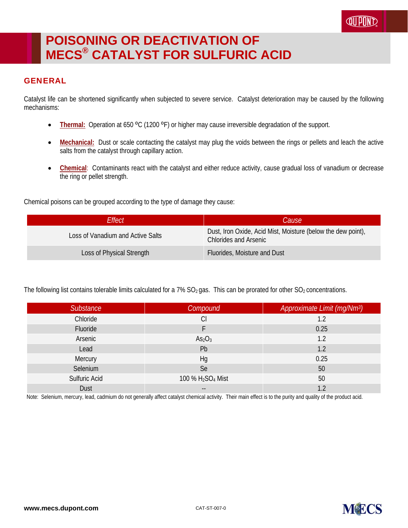## **POISONING OR DEACTIVATION OF MECS® CATALYST FOR SULFURIC ACID**

## **GENERAL**

Catalyst life can be shortened significantly when subjected to severe service. Catalyst deterioration may be caused by the following mechanisms:

- **Thermal:** Operation at 650 °C (1200 °F) or higher may cause irreversible degradation of the support.
- **Mechanical:** Dust or scale contacting the catalyst may plug the voids between the rings or pellets and leach the active salts from the catalyst through capillary action.
- **Chemical:** Contaminants react with the catalyst and either reduce activity, cause gradual loss of vanadium or decrease the ring or pellet strength.

Chemical poisons can be grouped according to the type of damage they cause:

| Effect                            | <i>Cause</i>                                                                                 |
|-----------------------------------|----------------------------------------------------------------------------------------------|
| Loss of Vanadium and Active Salts | Dust, Iron Oxide, Acid Mist, Moisture (below the dew point),<br><b>Chlorides and Arsenic</b> |
| Loss of Physical Strength         | Fluorides, Moisture and Dust                                                                 |

The following list contains tolerable limits calculated for a 7%  $SO_2$  gas. This can be prorated for other  $SO_2$  concentrations.

| Substance     | Compound                                  | Approximate Limit (mg/Nm <sup>3</sup> ) |
|---------------|-------------------------------------------|-----------------------------------------|
| Chloride      | Cl                                        | 1.2                                     |
| Fluoride      |                                           | 0.25                                    |
| Arsenic       | As <sub>2</sub> O <sub>3</sub>            | 1.2                                     |
| Lead          | Pb                                        | 1.2                                     |
| Mercury       | Hg                                        | 0.25                                    |
| Selenium      | Se                                        | 50                                      |
| Sulfuric Acid | 100 % H <sub>2</sub> SO <sub>4</sub> Mist | 50                                      |
| Dust          | $- -$                                     | 1.2                                     |

Note: Selenium, mercury, lead, cadmium do not generally affect catalyst chemical activity. Their main effect is to the purity and quality of the product acid.